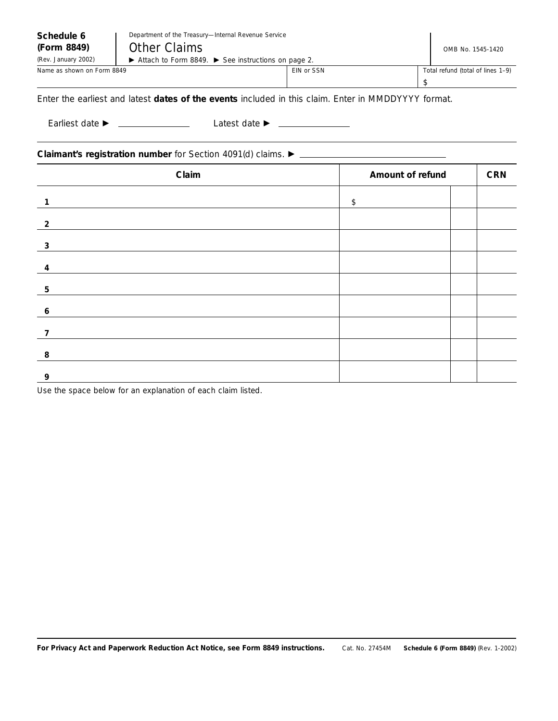| Schedule 6<br>(Form 8849)<br>(Rev. January 2002) | Department of the Treasury-Internal Revenue Service<br><b>Other Claims</b><br>Attach to Form 8849. > See instructions on page 2. |            |                                | OMB No. 1545-1420                       |  |
|--------------------------------------------------|----------------------------------------------------------------------------------------------------------------------------------|------------|--------------------------------|-----------------------------------------|--|
| Name as shown on Form 8849                       |                                                                                                                                  | EIN or SSN |                                | Total refund (total of lines 1-9)<br>\$ |  |
|                                                  | Enter the earliest and latest <b>dates of the events</b> included in this claim. Enter in MMDDYYYY format.                       |            |                                |                                         |  |
|                                                  |                                                                                                                                  |            |                                |                                         |  |
| Claim                                            |                                                                                                                                  |            | Amount of refund<br><b>CRN</b> |                                         |  |
| $\mathbf{1}$                                     |                                                                                                                                  |            | \$                             |                                         |  |
| $\overline{2}$                                   | <u> 1989 - Johann Harry Barn, mars ar breist fan de Amerikaansk kommunent fan de Amerikaansk kommunent fan de Am</u>             |            |                                |                                         |  |
| 3                                                |                                                                                                                                  |            |                                |                                         |  |
|                                                  | and the control of the control of the control of the control of the control of the control of the control of the                 |            |                                |                                         |  |
| 5                                                |                                                                                                                                  |            |                                |                                         |  |
| 6                                                |                                                                                                                                  |            |                                |                                         |  |
| $\overline{7}$                                   |                                                                                                                                  |            |                                |                                         |  |

**For Privacy Act and Paperwork Reduction Act Notice, see Form 8849 instructions.** Cat. No. 27454M **Schedule 6 (Form 8849)** (Rev. 1-2002)

Use the space below for an explanation of each claim listed.

**9**

**8**